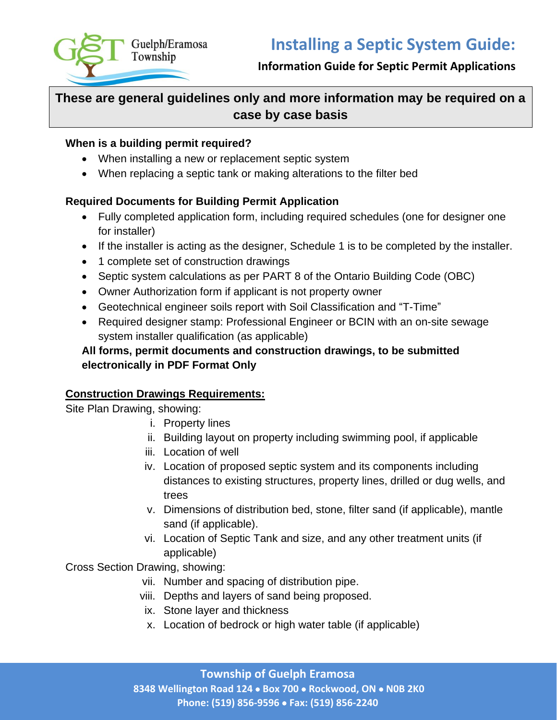

# **Information Guide for Septic Permit Applications**

# **These are general guidelines only and more information may be required on a case by case basis**

#### **When is a building permit required?**

- When installing a new or replacement septic system
- When replacing a septic tank or making alterations to the filter bed

## **Required Documents for Building Permit Application**

- Fully completed application form, including required schedules (one for designer one for installer)
- If the installer is acting as the designer, Schedule 1 is to be completed by the installer.
- 1 complete set of construction drawings
- Septic system calculations as per PART 8 of the Ontario Building Code (OBC)
- Owner Authorization form if applicant is not property owner
- Geotechnical engineer soils report with Soil Classification and "T-Time"
- Required designer stamp: Professional Engineer or BCIN with an on-site sewage system installer qualification (as applicable)

# **All forms, permit documents and construction drawings, to be submitted electronically in PDF Format Only**

#### **Construction Drawings Requirements:**

Site Plan Drawing, showing:

- i. Property lines
- ii. Building layout on property including swimming pool, if applicable
- iii. Location of well
- iv. Location of proposed septic system and its components including distances to existing structures, property lines, drilled or dug wells, and trees
- v. Dimensions of distribution bed, stone, filter sand (if applicable), mantle sand (if applicable).
- vi. Location of Septic Tank and size, and any other treatment units (if applicable)

Cross Section Drawing, showing:

- vii. Number and spacing of distribution pipe.
- viii. Depths and layers of sand being proposed.
- ix. Stone layer and thickness
- x. Location of bedrock or high water table (if applicable)

**Township of Guelph Eramosa 8348 Wellington Road 124** • **Box 700** • **Rockwood, ON** • **N0B 2K0 Phone: (519) 856-9596** • **Fax: (519) 856-2240**